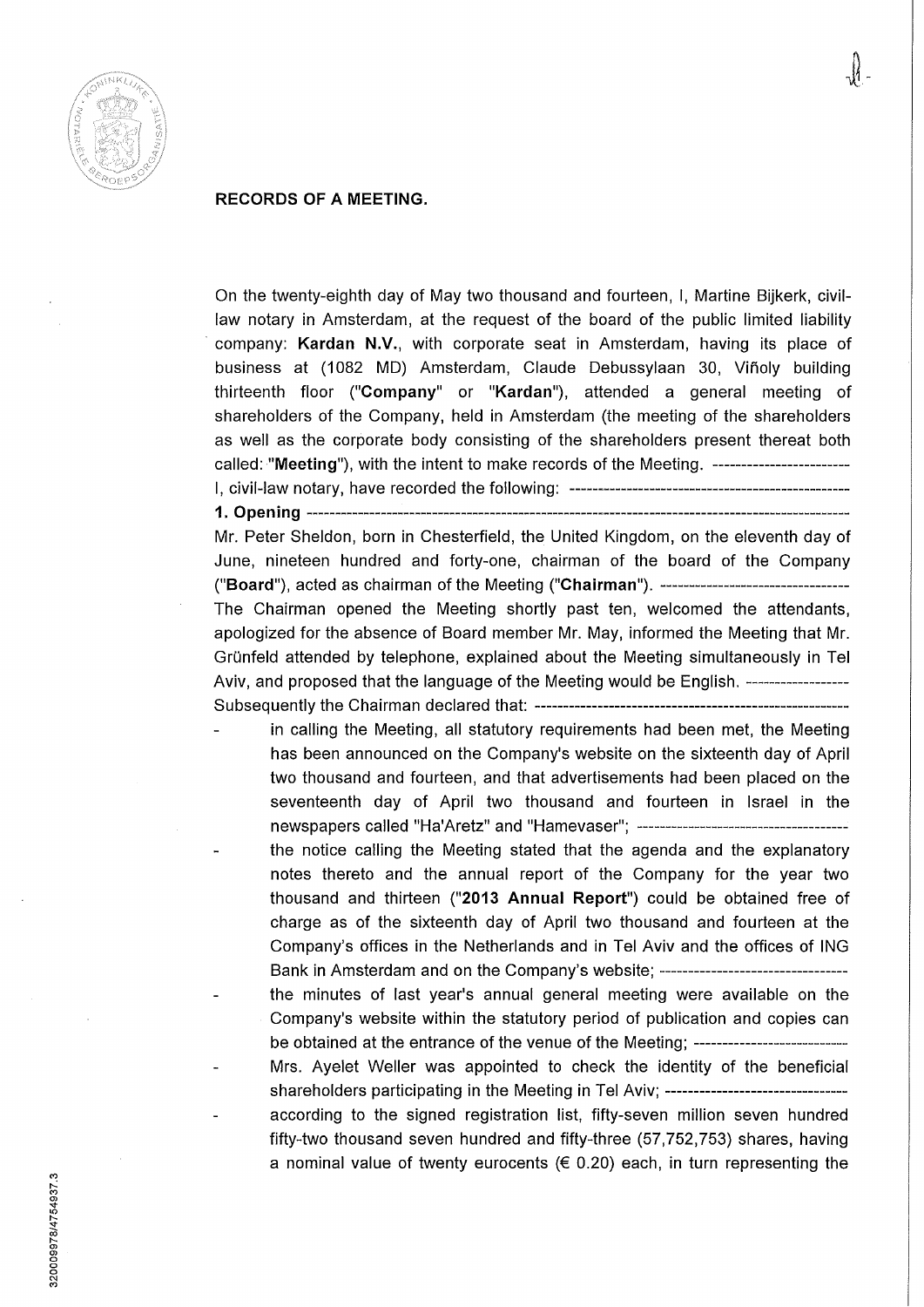

## **RECORDS OF A MEETING.**

On the twenty-eighth day of May two thousand and fourteen, I, Martine Bijkerk, civillaw notary in Annsterdam, at the request of the board of the public limited liability company: **Kardan** N.V., with corporate seat in Amsterdam, having its place of business at (1082 MD) Amsterdam, Claude Debussylaan 30, Viñoly building thirteenth floor **("Company"** or **"Kardan"),** attended a general meeting of shareholders of the Company, held in Amsterdam (the meeting of the shareholders as well as the corporate body consisting of the shareholders present thereat both called: **"Meeting"),** with the intent to make records of the Meeting. I, civil-law notary, have recorded the following:

**1. Opening** 

Mr. Peter Sheldon, born in Chesterfield, the United Kingdom, on the eleventh day of June, nineteen hundred and forty-one, chairman of the board of the Company ("Board"), acted as chairman of the Meeting ("Chairman"). **----------------------------------**The Chairman opened the Meeting shortly past ten, welcomed the attendants, apologized for the absence of Board member Mr. May, informed the Meeting that Mr. Grünfeld attended by telephone, explained about the Meeting simultaneously in Tel Aviv, and proposed that the language of the Meeting would be English. ------------------Subsequently the Chairman declared that:

- in calling the Meeting, all statutory requirements had been met, the Meeting has been announced on the Company's website on the sixteenth day of April two thousand and fourteen, and that advertisements had been placed on the seventeenth day of April two thousand and fourteen in Israel in the newspapers called "Ha'Aretz" and "Hamevaser";
- the notice calling the Meeting stated that the agenda and the explanatory notes thereto and the annual report of the Company for the year two thousand and thirteen **("2013 Annual Report")** could be obtained free of charge as of the sixteenth day of April two thousand and fourteen at the Company's offices in the Netherlands and in Tel Aviv and the offices of ING Bank in Amsterdam and on the Company's website; ---------------------------------
- the minutes of last year's annual general meeting were available on the Company's website within the statutory period of publication and copies can be obtained at the entrance of the venue of the Meeting; -----------------------------
- Mrs. Ayelet Weller was appointed to check the identity of the beneficial shareholders participating in the Meeting in Tel Aviv; -------------------------------
	- according to the signed registration list, fifty-seven million seven hundred fifty-two thousand seven hundred and fifty-three (57,752,753) shares, having a nominal value of twenty eurocents  $(E 0.20)$  each, in turn representing the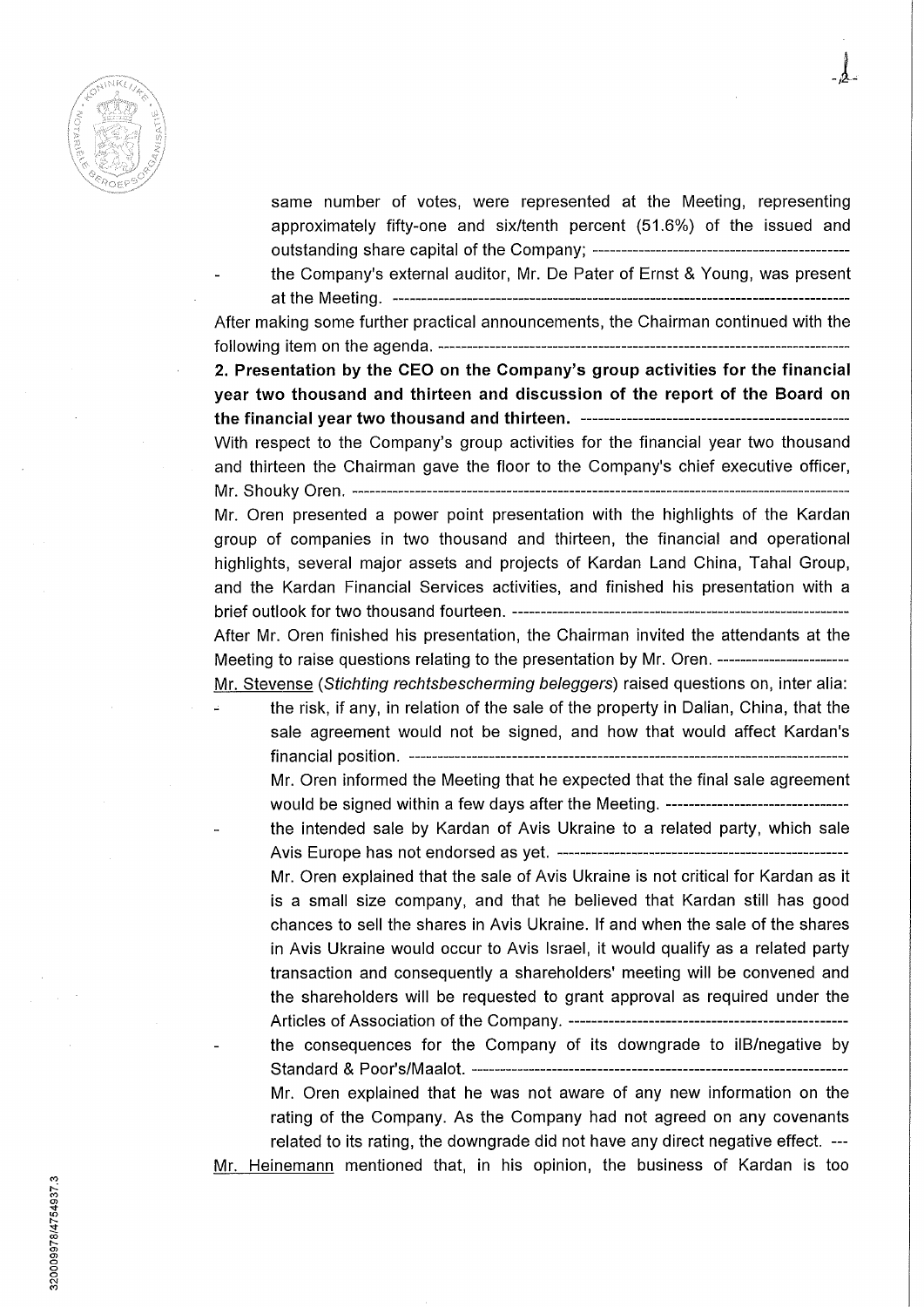

same number of votes, were represented at the Meeting, representing approximately fifty-one and six/tenth percent (51.6%) of the issued and outstanding share capital ofthe Company;

the Company's external auditor, Mr. De Pater of Ernst & Young, was present at the Meeting.

After making some further practical announcements, the Chairman continued with the following item on the agenda.

**2. Presentation by the CEO on the Company's group activities for the financiai year two thousand and thirteen and discussion of the report of the Board on the financiai year two thousand and thirteen.** 

With respect to the Company's group activities for the financial year two thousand and thirteen the Chairman gave the floor to the Company's chief executive officer, Mr. Shouky Oren.

Mr. Oren presented a power point presentation with the highlights of the Kardan group of companies in two thousand and thirteen, the financial and operational highlights, several major assets and projects of Kardan Land China, Tahal Group, and the Kardan Financial Services activities, and finished his presentation with a brief outlook for two thousand fourteen. After Mr. Oren finished his presentation, the Chairman invited the attendants at the

Meeting to raise questions relating to the presentation by Mr. Oren. -------------------------Mr. Stevense {Stichting rechtsbescherming beleggers) raised questions on, inter alia:

the risk, if any, in relation of the sale of the property in Dalian, China, that the sale agreement would not be signed, and how that would affect Kardan's financial position.

Mr. Oren informed the Meeting that he expected that the final sale agreement would be signed within a few days after the Meeting.

the intended sale by Kardan of Avis Ukraine to a related party, which sale Avis Europe has not endorsed as yet.

Mr. Oren explained that the sale of Avis Ukraine is not critical for Kardan as it is a small size company, and that he believed that Kardan still has good chances to sell the shares in Avis Ukraine. lf and when the sale of the shares in Avis Ukraine would occur to Avis Israel, it would qualify as a related party transaction and consequently a shareholders' meeting will be convened and the shareholders will be requested to grant approval as required under the Articles of Association ofthe Company. the consequences for the Company of its downgrade to ilB/negative by

Standard & Poor's/Maalot.

Mr. Oren explained that he was not aware of any new information on the rating of the Company. As the Company had not agreed on any covenants related to its rating, the downgrade did not have any direct negative effect. —

Mr. Heinemann mentioned that, in his opinion, the business of Kardan is too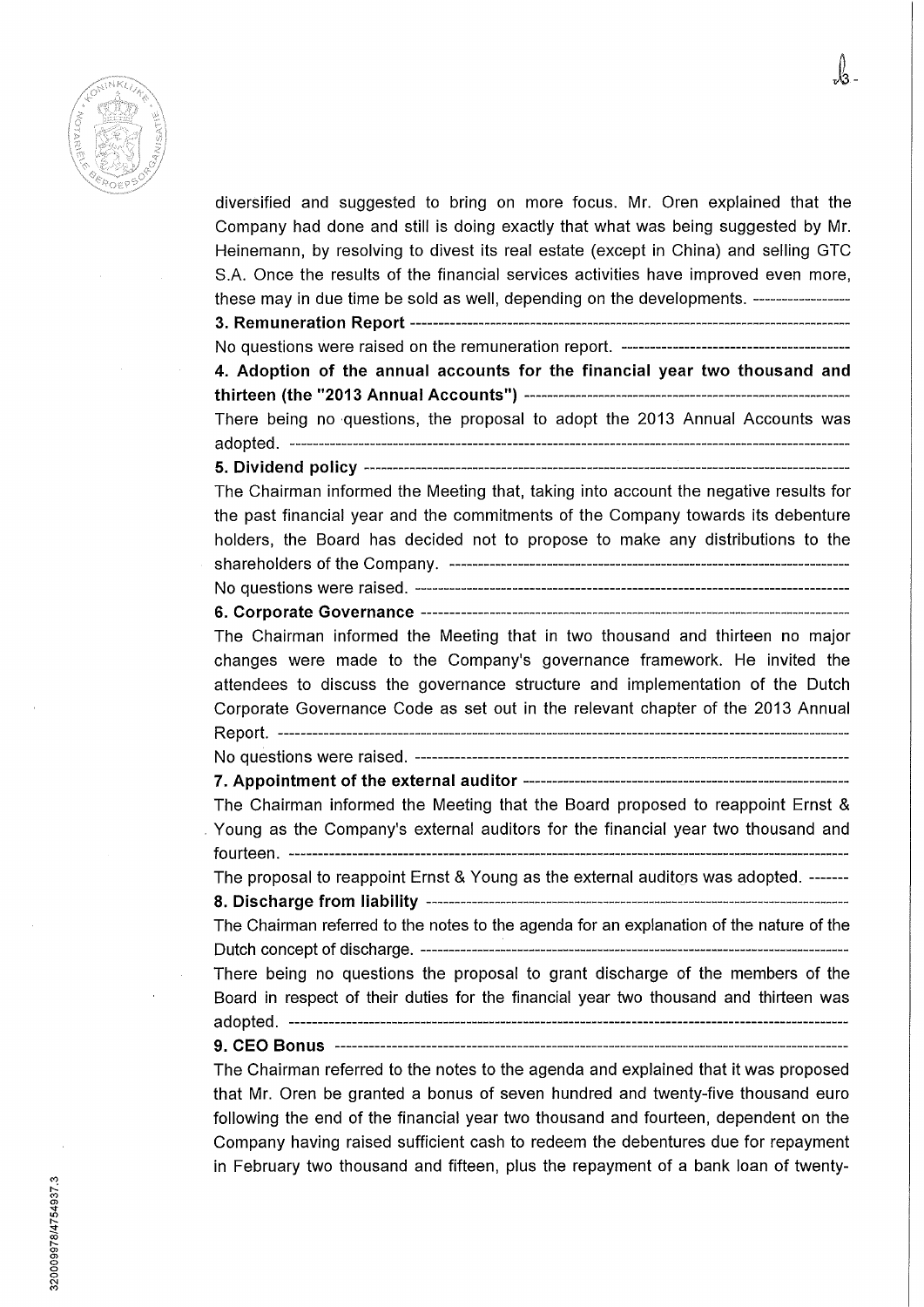

diversified and suggested to bring on more focus. Mr. Oren explained that the Company had done and still is doing exactly that what was being suggested by Mr. Heinemann, by resolving to divest its real estate (except in China) and selling GTC S.A. Once the results of the financial services activities have improved even more, these may in due time be sold as well, depending on the developments. **3. Remuneration Report**  No questions were raised on the remuneration report. **4. Adoption of the annuai accounts for the financiai year two thousand and thirteen (the "2013 Annuai Accounts")**  There being no questions, the proposai to adopt the 2013 Annual Accounts was adopted. **5. Dividend policy**  The Chairman informed the Meeting that, taking into account the negative results for the past financial year and the commitments of the Company towards its debenture holders, the Board has decided not to propose to make any distributions to the shareholders of the Company. No questions were raised. **6. Corporate Governance**  The Chairman informed the Meeting that in two thousand and thirteen no major changes were made to the Company's governance framework. He invited the attendees to discuss the governance structure and implementation of the Dutch Corporate Governance Code as set out in the relevant chapter of the 2013 Annual Report. No questions were raised. - **7. Appointment of the external auditor**  The Chairman informed the Meeting that the Board proposed to reappoint Ernst & Young as the Company's external auditors for the financial year two thousand and fourteen. The proposal to reappoint Ernst & Young as the external auditors was adopted. -------**8. Discharge from iiabiiity**  The Chairman referred to the notes to the agenda for an explanation of the nature of the Dutch concept of discharge. There being no questions the proposai to grant discharge of the members of the Board in respect of their duties for the financial year two thousand and thirteen was adopted. **9. CEO Bonus**  The Chairman referred to the notes to the agenda and explained that it was proposed that Mr. Oren be granted a bonus of seven hundred and twenty-five thousand euro following the end of the financial year two thousand and fourteen, dependent on the

Company having raised sufficiënt cash to redeem the debentures due for repayment in February two thousand and fifteen, plus the repayment of a bank loan of twenty-

320009978/4754937.3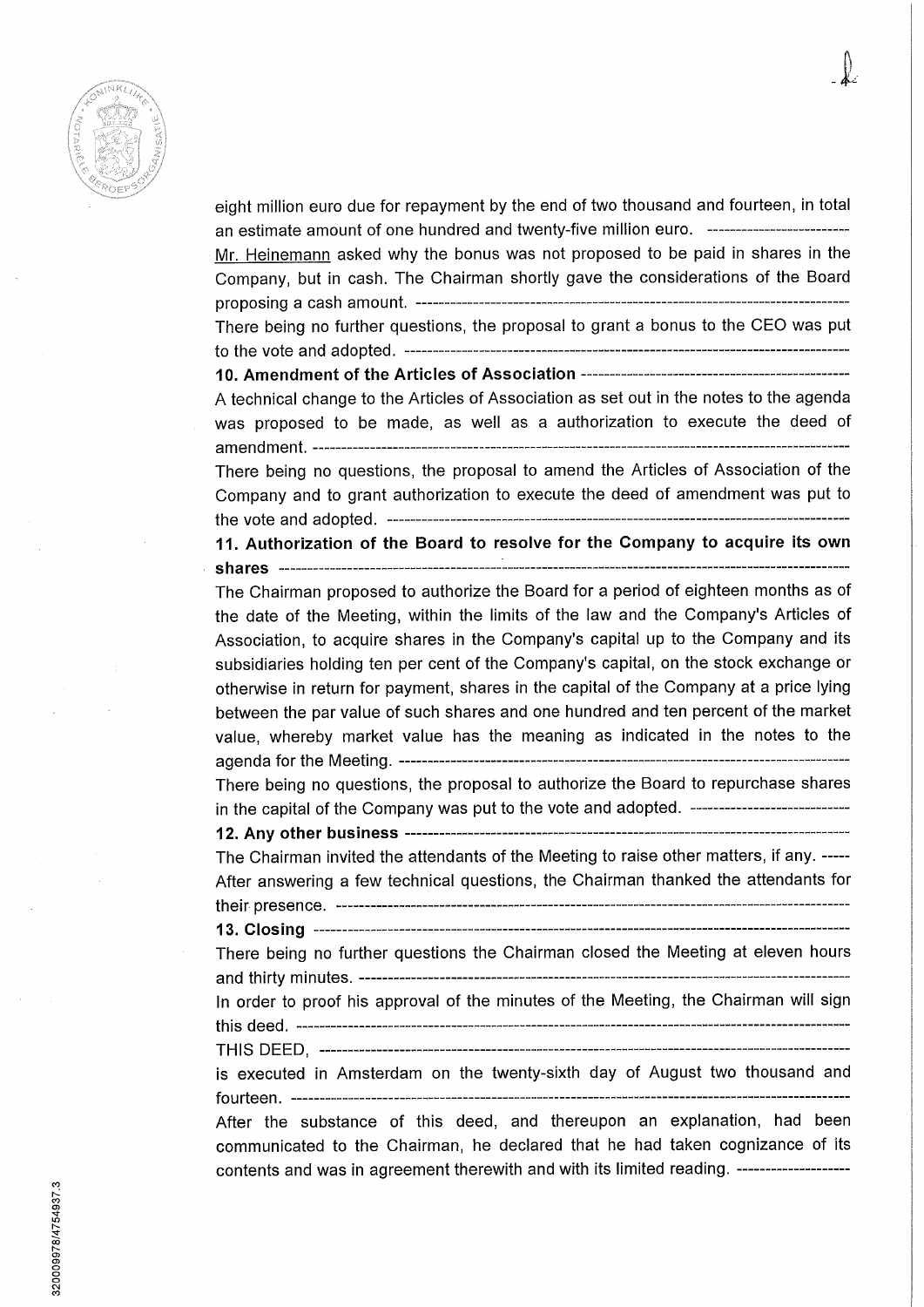

eight million euro due for repayment by the end of two thousand and fourteen, in total an estimate amount of one hundred and twenty-five million euro. Mr. Heinemann asked why the bonus was not proposed to be paid in shares in the Company, but in cash. The Chairman shortly gave the considerations of the Board proposing a cash amount. There being no further questions, the proposai to grant a bonus to the CEO was put to the vote and adopted. **10. Amendment of the Articles of Association** 

A technical change to the Articles of Association as set out in the notes to the agenda was proposed to be made, as well as a authorization to execute the deed of amendment.

There being no questions, the proposai to amend the Articles of Association of the Company and to grant authorization to execute the deed of amendment was put to the vote and adopted. **11. Authorization of the Board to resolve for the Company to acquire its own** 

**shares** 

The Chairman proposed to authorize the Board for a period of eighteen months as of the date of the Meeting, within the limits of the law and the Company's Articles of Association, to acquire shares in the Company's capital up to the Company and its subsidiaries holding ten per cent of the Company's capital, on the stock exehange or othenwise in return for payment, shares in the capital of the Company at a price lying between the par value of such shares and one hundred and ten percent of the market value, whereby market value has the meaning as indicated in the notes to the agenda for the Meeting.

There being no questions, the proposai to authorize the Board to repurchase shares in the capital of the Company was put to the vote and adopted. -----------------------------

**12. Any other business** 

The Chairman invited the attendants of the Meeting to raise other matters, if any. After answering a few technical questions, the Chairman thanked the attendants for their presence.

**13. Closing**  There being no further questions the Chairman closed the Meeting at eleven hours

and thirty minutes. In order to proof his approval of the minutes of the Meeting, the Chairman will sign this deed.

THIS DEED,

is executed in Amsterdam on the twenty-sixth day of August two thousand and fourteen.

After the substance of this deed, and thereupon an explanation, had been communicated to the Chairman, he declared that he had taken cognizance of its contents and was in agreement therewith and with its limited reading.